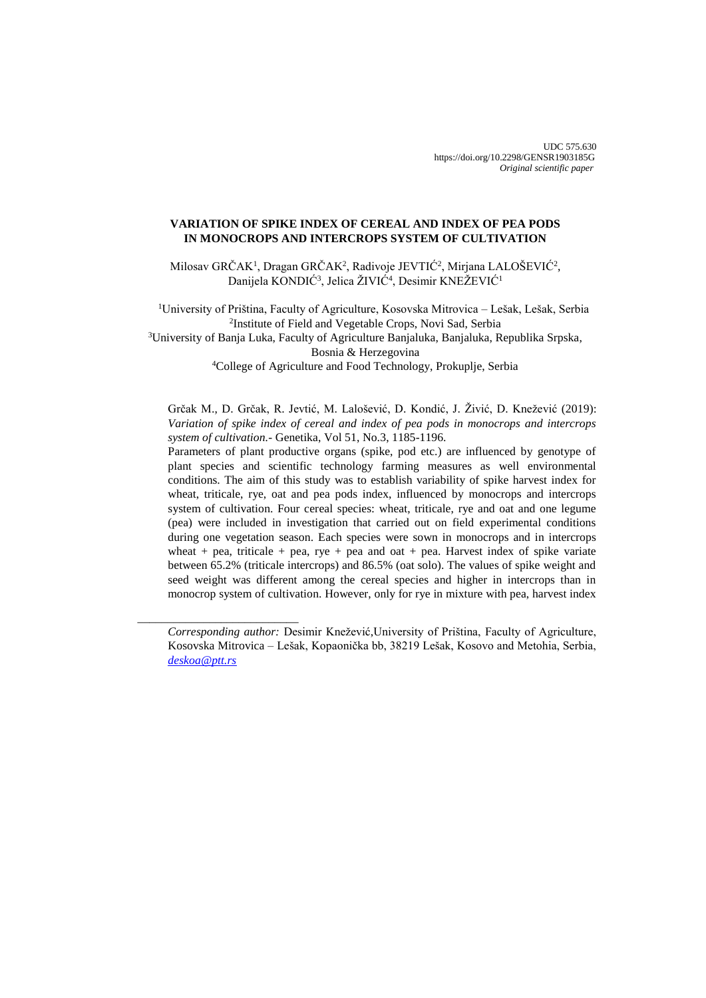# **VARIATION OF SPIKE INDEX OF CEREAL AND INDEX OF PEA PODS IN MONOCROPS AND INTERCROPS SYSTEM OF CULTIVATION**

Milosav GRČAK<sup>1</sup>, Dragan GRČAK<sup>2</sup>, Radivoje JEVTIĆ<sup>2</sup>, Mirjana LALOŠEVIĆ<sup>2</sup>, Danijela KONDIĆ<sup>3</sup>, Jelica ŽIVIĆ<sup>4</sup>, Desimir KNEŽEVIĆ<sup>1</sup>

<sup>1</sup>University of Priština, Faculty of Agriculture, Kosovska Mitrovica – Lešak, Lešak, Serbia 2 Institute of Field and Vegetable Crops, Novi Sad, Serbia <sup>3</sup>University of Banja Luka, Faculty of Agriculture Banjaluka, Banjaluka, Republika Srpska,

Bosnia & Herzegovina

<sup>4</sup>College of Agriculture and Food Technology, Prokuplje, Serbia

Grčak M., D. Grčak, R. Jevtić, M. Lalošević, D. Kondić, J. Živić, D. Knežević (2019): *Variation of spike index of cereal and index of pea pods in monocrops and intercrops system of cultivation.-* Genetika, Vol 51, No.3, 1185-1196.

Parameters of plant productive organs (spike, pod etc.) are influenced by genotype of plant species and scientific technology farming measures as well environmental conditions. The aim of this study was to establish variability of spike harvest index for wheat, triticale, rye, oat and pea pods index, influenced by monocrops and intercrops system of cultivation. Four cereal species: wheat, triticale, rye and oat and one legume (pea) were included in investigation that carried out on field experimental conditions during one vegetation season. Each species were sown in monocrops and in intercrops wheat + pea, triticale + pea, rye + pea and oat + pea. Harvest index of spike variate between 65.2% (triticale intercrops) and 86.5% (oat solo). The values of spike weight and seed weight was different among the cereal species and higher in intercrops than in monocrop system of cultivation. However, only for rye in mixture with pea, harvest index

\_\_\_\_\_\_\_\_\_\_\_\_\_\_\_\_\_\_\_\_\_\_\_\_\_\_\_

*Corresponding author:* Desimir Knežević,University of Priština, Faculty of Agriculture, Kosovska Mitrovica – Lešak, Kopaonička bb, 38219 Lešak, Kosovo and Metohia, Serbia, *[deskoa@ptt.rs](mailto:deskoa@ptt.rs)*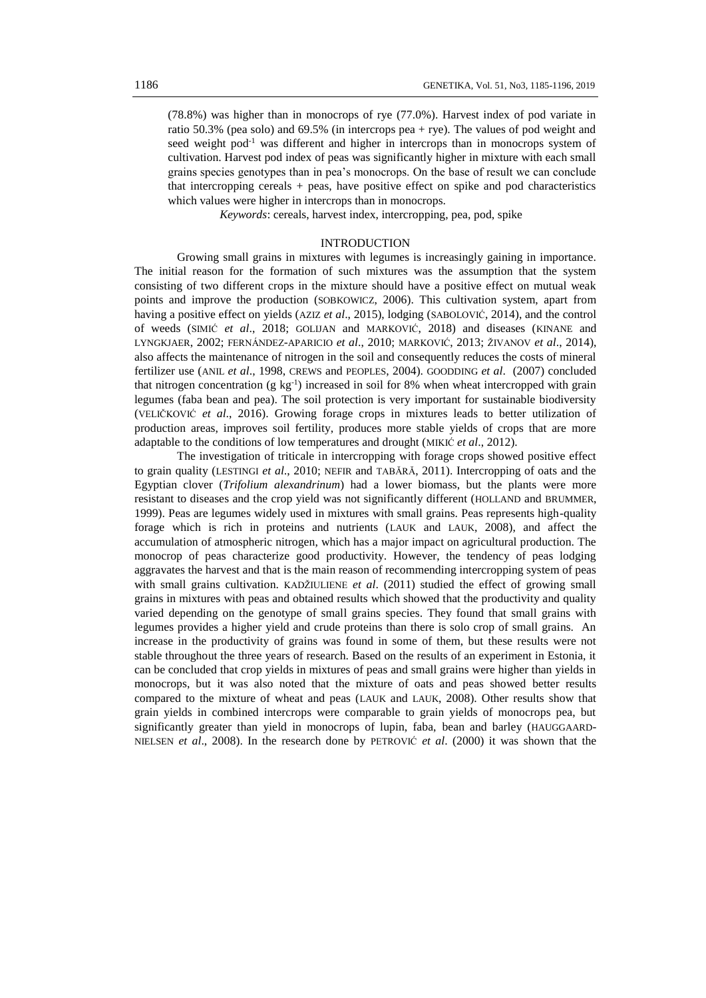(78.8%) was higher than in monocrops of rye (77.0%). Harvest index of pod variate in ratio 50.3% (pea solo) and 69.5% (in intercrops pea + rye). The values of pod weight and seed weight pod<sup>-1</sup> was different and higher in intercrops than in monocrops system of cultivation. Harvest pod index of peas was significantly higher in mixture with each small grains species genotypes than in pea's monocrops. On the base of result we can conclude that intercropping cereals + peas, have positive effect on spike and pod characteristics which values were higher in intercrops than in monocrops.

*Keywords*: cereals, harvest index, intercropping, pea, pod, spike

## INTRODUCTION

Growing small grains in mixtures with legumes is increasingly gaining in importance. The initial reason for the formation of such mixtures was the assumption that the system consisting of two different crops in the mixture should have a positive effect on mutual weak points and improve the production (SOBKOWICZ, 2006). This cultivation system, apart from having a positive effect on yields (AZIZ *et al*., 2015), lodging (SABOLOVIĆ, 2014), and the control of weeds (SIMIĆ *et al*., 2018; GOLIJAN and MARKOVIĆ, 2018) and diseases (KINANE and LYNGKJAER, 2002; FERNÁNDEZ-APARICIO *et al*., 2010; MARKOVIĆ, 2013; ŽIVANOV *et al*., 2014), also affects the maintenance of nitrogen in the soil and consequently reduces the costs of mineral fertilizer use (ANIL *et al*., 1998, CREWS and PEOPLES, 2004). GOODDING *et al*. (2007) concluded that nitrogen concentration  $(g \ kg^{-1})$  increased in soil for 8% when wheat intercropped with grain legumes (faba bean and pea). The soil protection is very important for sustainable biodiversity (VELIČKOVIĆ *et al*., 2016). Growing forage crops in mixtures leads to better utilization of production areas, improves soil fertility, produces more stable yields of crops that are more adaptable to the conditions of low temperatures and drought (MIKIĆ *et al*., 2012).

The investigation of triticale in intercropping with forage crops showed positive effect to grain quality (LESTINGI *et al*., 2010; NEFIR and TABĂRĂ, 2011). Intercropping of oats and the Egyptian clover (*Trifolium alexandrinum*) had a lower biomass, but the plants were more resistant to diseases and the crop yield was not significantly different (HOLLAND and BRUMMER, 1999). Peas are legumes widely used in mixtures with small grains. Peas represents high-quality forage which is rich in proteins and nutrients (LAUK and LAUK, 2008), and affect the accumulation of atmospheric nitrogen, which has a major impact on agricultural production. The monocrop of peas characterize good productivity. However, the tendency of peas lodging aggravates the harvest and that is the main reason of recommending intercropping system of peas with small grains cultivation. KADŽIULIENE *et al*. (2011) studied the effect of growing small grains in mixtures with peas and obtained results which showed that the productivity and quality varied depending on the genotype of small grains species. They found that small grains with legumes provides a higher yield and crude proteins than there is solo crop of small grains. An increase in the productivity of grains was found in some of them, but these results were not stable throughout the three years of research. Based on the results of an experiment in Estonia, it can be concluded that crop yields in mixtures of peas and small grains were higher than yields in monocrops, but it was also noted that the mixture of oats and peas showed better results compared to the mixture of wheat and peas (LAUK and LAUK, 2008). Other results show that grain yields in combined intercrops were comparable to grain yields of monocrops pea, but significantly greater than yield in monocrops of lupin, faba, bean and barley (HAUGGAARD-NIELSEN *et al*., 2008). In the research done by PETROVIĆ *et al*. (2000) it was shown that the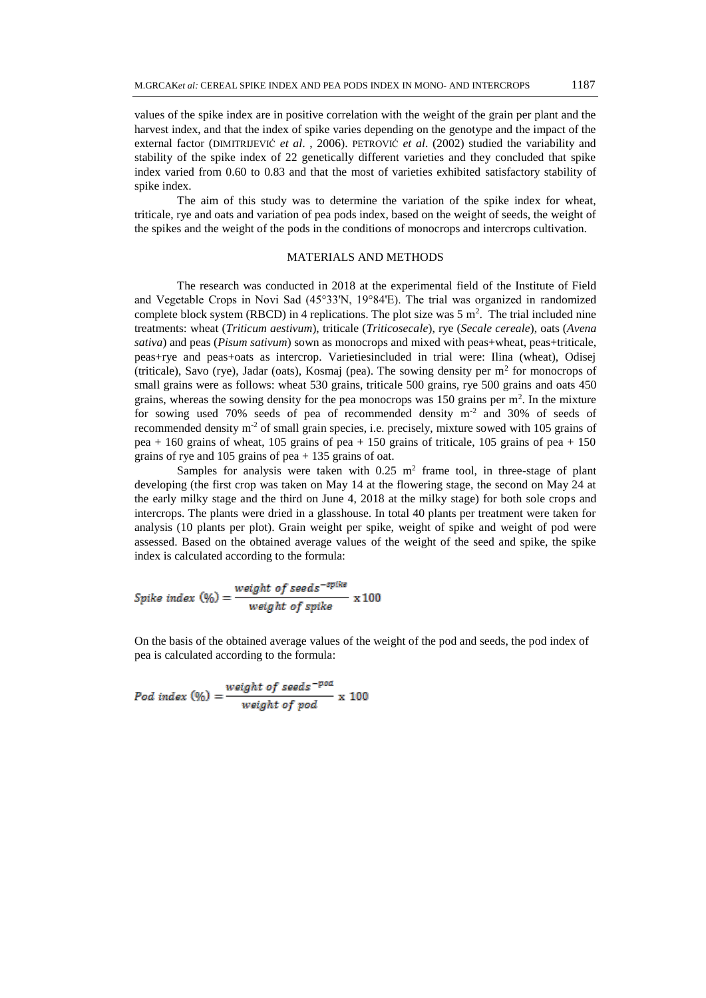values of the spike index are in positive correlation with the weight of the grain per plant and the harvest index, and that the index of spike varies depending on the genotype and the impact of the external factor (DIMITRIJEVIĆ *et al*. , 2006). PETROVIĆ *et al*. (2002) studied the variability and stability of the spike index of 22 genetically different varieties and they concluded that spike index varied from 0.60 to 0.83 and that the most of varieties exhibited satisfactory stability of spike index.

The aim of this study was to determine the variation of the spike index for wheat, triticale, rye and oats and variation of pea pods index, based on the weight of seeds, the weight of the spikes and the weight of the pods in the conditions of monocrops and intercrops cultivation.

## MATERIALS AND METHODS

The research was conducted in 2018 at the experimental field of the Institute of Field and Vegetable Crops in Novi Sad (45°33'N, 19°84'E). The trial was organized in randomized complete block system (RBCD) in 4 replications. The plot size was  $5 \text{ m}^2$ . The trial included nine treatments: wheat (*Triticum aestivum*), triticale (*Triticosecale*), rye (*Secale cereale*), oats (*Avena sativa*) and peas (*Pisum sativum*) sown as monocrops and mixed with peas+wheat, peas+triticale, peas+rye and peas+oats as intercrop. Varietiesincluded in trial were: Ilina (wheat), Odisej (triticale), Savo (rye), Jadar (oats), Kosmaj (pea). The sowing density per  $m<sup>2</sup>$  for monocrops of small grains were as follows: wheat 530 grains, triticale 500 grains, rye 500 grains and oats 450 grains, whereas the sowing density for the pea monocrops was  $150$  grains per  $m<sup>2</sup>$ . In the mixture for sowing used 70% seeds of pea of recommended density  $m<sup>2</sup>$  and 30% of seeds of recommended density  $m<sup>2</sup>$  of small grain species, i.e. precisely, mixture sowed with 105 grains of pea + 160 grains of wheat, 105 grains of pea + 150 grains of triticale, 105 grains of pea + 150 grains of rye and 105 grains of pea + 135 grains of oat.

Samples for analysis were taken with  $0.25 \text{ m}^2$  frame tool, in three-stage of plant developing (the first crop was taken on May 14 at the flowering stage, the second on May 24 at the early milky stage and the third on June 4, 2018 at the milky stage) for both sole crops and intercrops. The plants were dried in a glasshouse. In total 40 plants per treatment were taken for analysis (10 plants per plot). Grain weight per spike, weight of spike and weight of pod were assessed. Based on the obtained average values of the weight of the seed and spike, the spike index is calculated according to the formula:

$$
Spike\ index\ (\%) = \frac{weight\ of\ seeds^{-spike}}{weight\ of\ spike} \ x\ 100
$$

On the basis of the obtained average values of the weight of the pod and seeds, the pod index of pea is calculated according to the formula:

Pod index (%) =  $\frac{weight\ of\ seeds^{-pod}}{weight\ of\ pod} \times 100$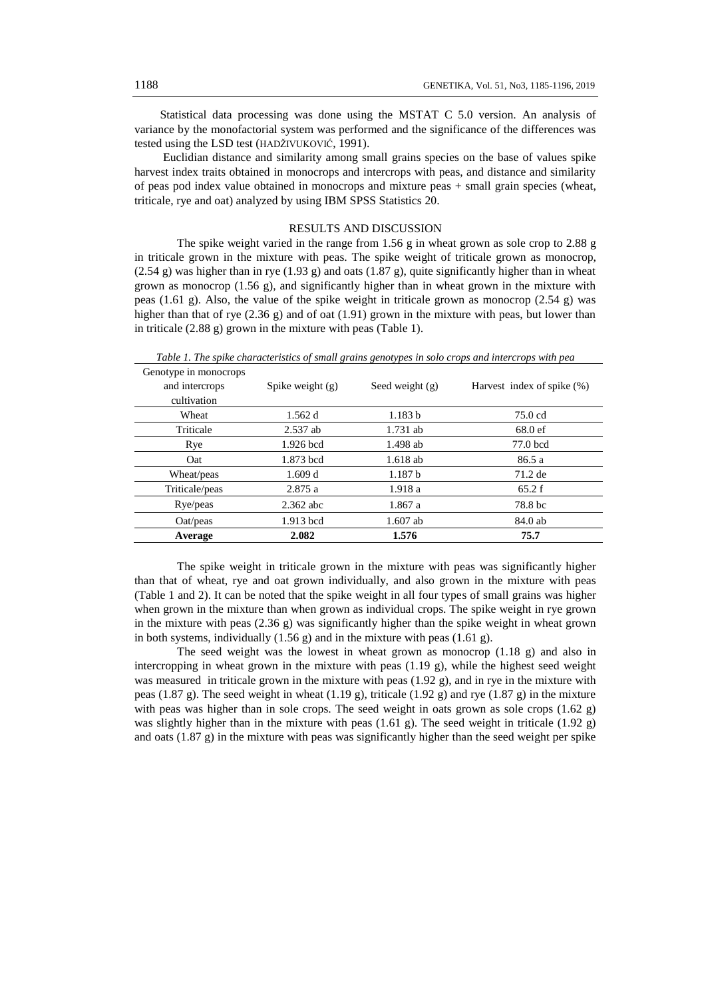Statistical data processing was done using the MSTAT C 5.0 version. An analysis of variance by the monofactorial system was performed and the significance of the differences was tested using the LSD test (HADŽIVUKOVIĆ, 1991).

Euclidian distance and similarity among small grains species on the base of values spike harvest index traits obtained in monocrops and intercrops with peas, and distance and similarity of peas pod index value obtained in monocrops and mixture peas + small grain species (wheat, triticale, rye and oat) analyzed by using IBM SPSS Statistics 20.

#### RESULTS AND DISCUSSION

The spike weight varied in the range from 1.56 g in wheat grown as sole crop to 2.88 g in triticale grown in the mixture with peas. The spike weight of triticale grown as monocrop,  $(2.54 \text{ g})$  was higher than in rye  $(1.93 \text{ g})$  and oats  $(1.87 \text{ g})$ , quite significantly higher than in wheat grown as monocrop  $(1.56 \text{ g})$ , and significantly higher than in wheat grown in the mixture with peas (1.61 g). Also, the value of the spike weight in triticale grown as monocrop (2.54 g) was higher than that of rye  $(2.36 \text{ g})$  and of oat  $(1.91)$  grown in the mixture with peas, but lower than in triticale (2.88 g) grown in the mixture with peas (Table 1).

| Genotype in monocrops |                    |                    |                            |
|-----------------------|--------------------|--------------------|----------------------------|
| and intercrops        | Spike weight $(g)$ | Seed weight $(g)$  | Harvest index of spike (%) |
| cultivation           |                    |                    |                            |
| Wheat                 | 1.562d             | 1.183 b            | 75.0 cd                    |
| Triticale             | $2.537$ ab         | $1.731$ ab         | 68.0 ef                    |
| Rye                   | 1.926 bcd          | 1.498 ab           | 77.0 bcd                   |
| Oat                   | 1.873 bcd          | $1.618$ ab         | 86.5 a                     |
| Wheat/peas            | 1.609 d            | 1.187 <sub>b</sub> | 71.2 de                    |
| Triticale/peas        | 2.875a             | 1.918a             | 65.2 f                     |
| Rye/peas              | $2.362$ abc        | 1.867 a            | 78.8 bc                    |
| Oat/peas              | 1.913 bcd          | $1.607$ ab         | 84.0 ab                    |
| Average               | 2.082              | 1.576              | 75.7                       |

*Table 1. The spike characteristics of small grains genotypes in solo crops and intercrops with pea*

The spike weight in triticale grown in the mixture with peas was significantly higher than that of wheat, rye and oat grown individually, and also grown in the mixture with peas (Table 1 and 2). It can be noted that the spike weight in all four types of small grains was higher when grown in the mixture than when grown as individual crops. The spike weight in rye grown in the mixture with peas  $(2.36 \text{ g})$  was significantly higher than the spike weight in wheat grown in both systems, individually (1.56 g) and in the mixture with peas (1.61 g).

The seed weight was the lowest in wheat grown as monocrop (1.18 g) and also in intercropping in wheat grown in the mixture with peas (1.19 g), while the highest seed weight was measured in triticale grown in the mixture with peas (1.92 g), and in rye in the mixture with peas (1.87 g). The seed weight in wheat (1.19 g), triticale (1.92 g) and rye (1.87 g) in the mixture with peas was higher than in sole crops. The seed weight in oats grown as sole crops  $(1.62 \text{ g})$ was slightly higher than in the mixture with peas  $(1.61 \text{ g})$ . The seed weight in triticale  $(1.92 \text{ g})$ and oats (1.87 g) in the mixture with peas was significantly higher than the seed weight per spike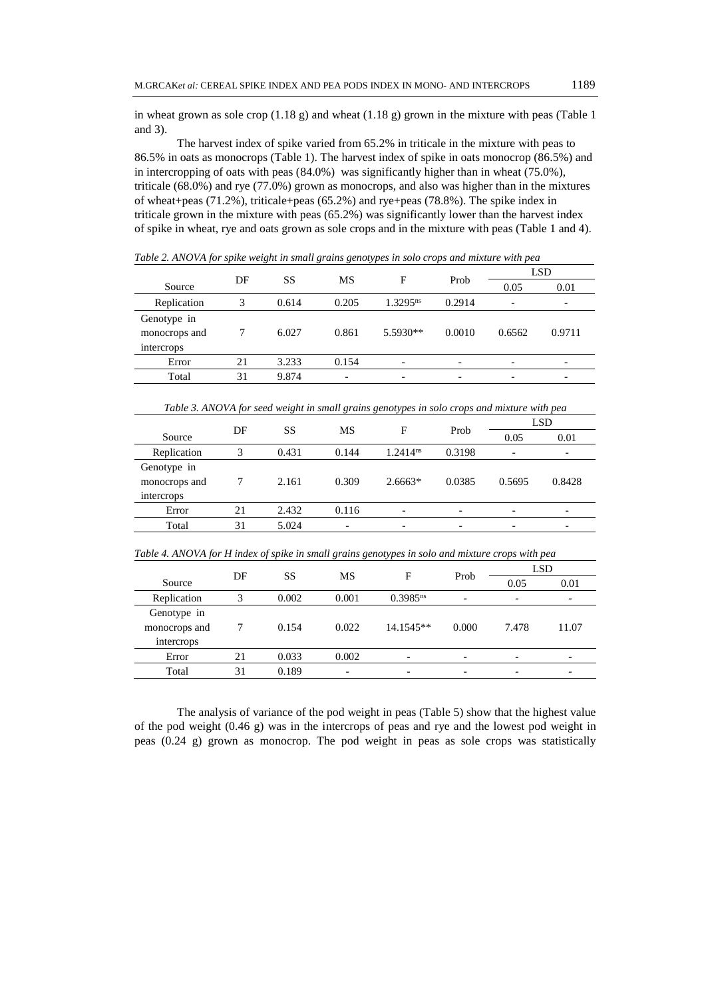in wheat grown as sole crop  $(1.18 \text{ g})$  and wheat  $(1.18 \text{ g})$  grown in the mixture with peas (Table 1) and 3).

The harvest index of spike varied from 65.2% in triticale in the mixture with peas to 86.5% in oats as monocrops (Table 1). The harvest index of spike in oats monocrop (86.5%) and in intercropping of oats with peas (84.0%) was significantly higher than in wheat (75.0%), triticale (68.0%) and rye (77.0%) grown as monocrops, and also was higher than in the mixtures of wheat+peas (71.2%), triticale+peas (65.2%) and rye+peas (78.8%). The spike index in triticale grown in the mixture with peas (65.2%) was significantly lower than the harvest index of spike in wheat, rye and oats grown as sole crops and in the mixture with peas (Table 1 and 4).

|                                                                                             |    |           | <b>SS</b><br>DF<br>MS<br>F<br>Prob |               |        |        |            | <b>LSD</b> |  |
|---------------------------------------------------------------------------------------------|----|-----------|------------------------------------|---------------|--------|--------|------------|------------|--|
| Source                                                                                      |    |           |                                    |               |        | 0.05   | 0.01       |            |  |
| Replication                                                                                 | 3  | 0.614     | 0.205                              | $1.3295^{ns}$ | 0.2914 |        |            |            |  |
| Genotype in<br>monocrops and<br>intercrops                                                  | 7  | 6.027     | 0.861                              | 5.5930**      | 0.0010 | 0.6562 | 0.9711     |            |  |
| Error                                                                                       | 21 | 3.233     | 0.154                              |               |        |        |            |            |  |
| Total                                                                                       | 31 | 9.874     |                                    |               |        |        |            |            |  |
| Table 3. ANOVA for seed weight in small grains genotypes in solo crops and mixture with pea |    |           |                                    |               |        |        |            |            |  |
|                                                                                             |    |           |                                    |               |        |        |            |            |  |
|                                                                                             |    |           |                                    |               |        |        | <b>LSD</b> |            |  |
| Source                                                                                      | DF | <b>SS</b> | MS                                 | F             | Prob   | 0.05   | 0.01       |            |  |
| Replication                                                                                 | 3  | 0.431     | 0.144                              | $1.2414^{ns}$ | 0.3198 |        |            |            |  |
| Genotype in<br>monocrops and<br>intercrops                                                  | 7  | 2.161     | 0.309                              | $2.6663*$     | 0.0385 | 0.5695 | 0.8428     |            |  |
| Error                                                                                       | 21 | 2.432     | 0.116                              |               |        |        |            |            |  |

*Table 2. ANOVA for spike weight in small grains genotypes in solo crops and mixture with pea* 

| Table 4. ANOVA for H index of spike in small grains genotypes in solo and mixture crops with ped |    |       |       |                        |                          |            |       |  |
|--------------------------------------------------------------------------------------------------|----|-------|-------|------------------------|--------------------------|------------|-------|--|
|                                                                                                  | DF |       |       |                        | Prob                     | <b>LSD</b> |       |  |
| Source                                                                                           |    | SS    | MS    | F                      |                          | 0.05       | 0.01  |  |
| Replication                                                                                      |    | 0.002 | 0.001 | $0.3985$ <sup>ns</sup> | $\overline{\phantom{a}}$ |            |       |  |
| Genotype in                                                                                      |    |       |       |                        |                          |            |       |  |
| monocrops and                                                                                    |    | 0.154 | 0.022 | 14.1545**              | 0.000                    | 7.478      | 11.07 |  |
| intercrops                                                                                       |    |       |       |                        |                          |            |       |  |
| Error                                                                                            | 21 | 0.033 | 0.002 |                        |                          |            |       |  |
| Total                                                                                            | 31 | 0.189 |       |                        |                          |            |       |  |

*Table 4. ANOVA for H index of spike in small grains genotypes in solo and mixture crops with pea*

The analysis of variance of the pod weight in peas (Table 5) show that the highest value of the pod weight (0.46 g) was in the intercrops of peas and rye and the lowest pod weight in peas (0.24 g) grown as monocrop. The pod weight in peas as sole crops was statistically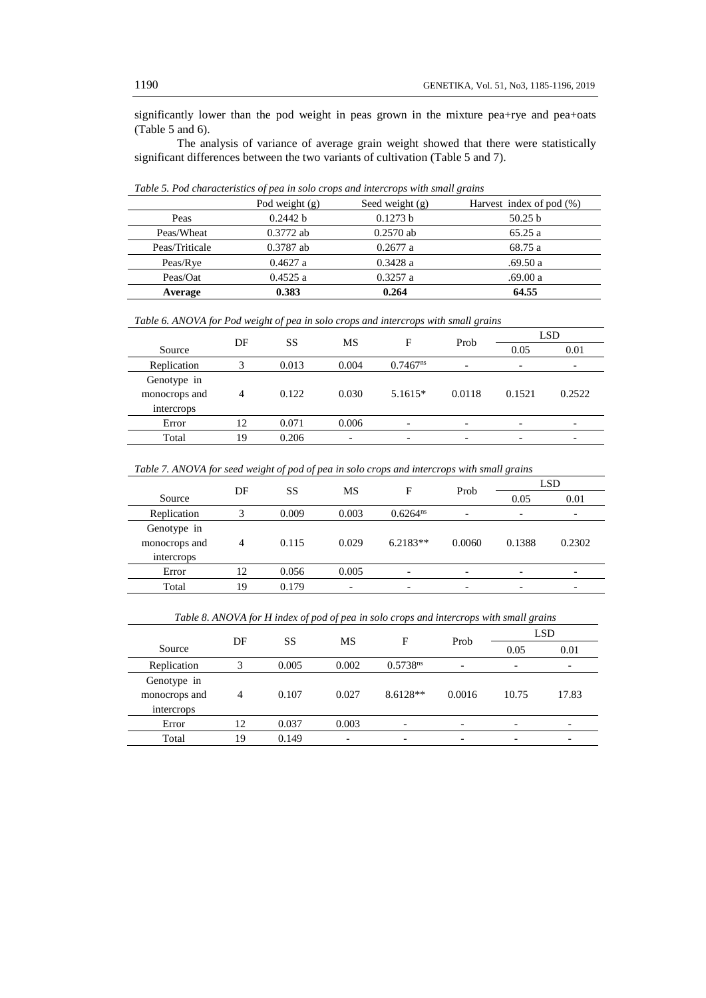significantly lower than the pod weight in peas grown in the mixture pea+rye and pea+oats (Table 5 and 6).

The analysis of variance of average grain weight showed that there were statistically significant differences between the two variants of cultivation (Table 5 and 7).

|                | $\mathbf{v}$ $\mathbf{r}$<br>Pod weight $(g)$ | Seed weight $(g)$ | $\tilde{}$<br>Harvest index of pod $(\%)$ |
|----------------|-----------------------------------------------|-------------------|-------------------------------------------|
| Peas           | 0.2442 b                                      | 0.1273 b          | 50.25 b                                   |
| Peas/Wheat     | $0.3772$ ab                                   | $0.2570$ ab       | 65.25a                                    |
| Peas/Triticale | $0.3787$ ab                                   | 0.2677a           | 68.75 a                                   |
| Peas/Rye       | 0.4627a                                       | 0.3428a           | .69.50a                                   |
| Peas/Oat       | 0.4525a                                       | 0.3257a           | .69.00 a                                  |
| Average        | 0.383                                         | 0.264             | 64.55                                     |

*Table 5. Pod characteristics of pea in solo crops and intercrops with small grains*

*Table 6. ANOVA for Pod weight of pea in solo crops and intercrops with small grains*

|               | DF<br><b>SS</b> |       | F     |                        |                          | Prob                     | LSD    |  |
|---------------|-----------------|-------|-------|------------------------|--------------------------|--------------------------|--------|--|
| Source        |                 |       | MS    |                        |                          | 0.05                     | 0.01   |  |
| Replication   |                 | 0.013 | 0.004 | $0.7467$ <sup>ns</sup> | $\overline{\phantom{0}}$ | $\overline{\phantom{0}}$ |        |  |
| Genotype in   |                 |       |       |                        |                          |                          |        |  |
| monocrops and | $\overline{4}$  | 0.122 | 0.030 | $5.1615*$              | 0.0118                   | 0.1521                   | 0.2522 |  |
| intercrops    |                 |       |       |                        |                          |                          |        |  |
| Error         | 12              | 0.071 | 0.006 | -                      | $\overline{\phantom{0}}$ | $\overline{\phantom{0}}$ |        |  |
| Total         | 19              | 0.206 | -     |                        |                          | ۰                        |        |  |
|               |                 |       |       |                        |                          |                          |        |  |

| Table 7. ANOVA for seed weight of pod of pea in solo crops and intercrops with small grains |  |  |  |  |  |  |  |
|---------------------------------------------------------------------------------------------|--|--|--|--|--|--|--|
|---------------------------------------------------------------------------------------------|--|--|--|--|--|--|--|

|               |    | DF        |       | <b>MS</b>     | F                        | Prob   |                          | <b>LSD</b> |
|---------------|----|-----------|-------|---------------|--------------------------|--------|--------------------------|------------|
| Source        |    | <b>SS</b> |       |               |                          | 0.05   | 0.01                     |            |
| Replication   | 3  | 0.009     | 0.003 | $0.6264^{ns}$ | $\overline{\phantom{0}}$ | -      | $\overline{\phantom{0}}$ |            |
| Genotype in   |    |           |       |               |                          |        |                          |            |
| monocrops and | 4  | 0.115     | 0.029 | $6.2183**$    | 0.0060                   | 0.1388 | 0.2302                   |            |
| intercrops    |    |           |       |               |                          |        |                          |            |
| Error         | 12 | 0.056     | 0.005 |               | -                        |        |                          |            |
| Total         | 19 | 0.179     | -     | -             |                          |        |                          |            |
|               |    |           |       |               |                          |        |                          |            |

*Table 8. ANOVA for H index of pod of pea in solo crops and intercrops with small grains* 

|               |    |       |       |                        |        | F                        | Prob  | <b>LSD</b> |  |
|---------------|----|-------|-------|------------------------|--------|--------------------------|-------|------------|--|
| Source        | DF | SS    | MS    |                        |        | 0.05                     | 0.01  |            |  |
| Replication   | 3  | 0.005 | 0.002 | $0.5738$ <sup>ns</sup> |        | $\overline{\phantom{a}}$ |       |            |  |
| Genotype in   |    |       |       |                        |        |                          |       |            |  |
| monocrops and | 4  | 0.107 | 0.027 | $8.6128**$             | 0.0016 | 10.75                    | 17.83 |            |  |
| intercrops    |    |       |       |                        |        |                          |       |            |  |
| Error         | 12 | 0.037 | 0.003 |                        | -      | $\overline{\phantom{0}}$ | -     |            |  |
| Total         | 19 | 0.149 |       |                        |        | -                        |       |            |  |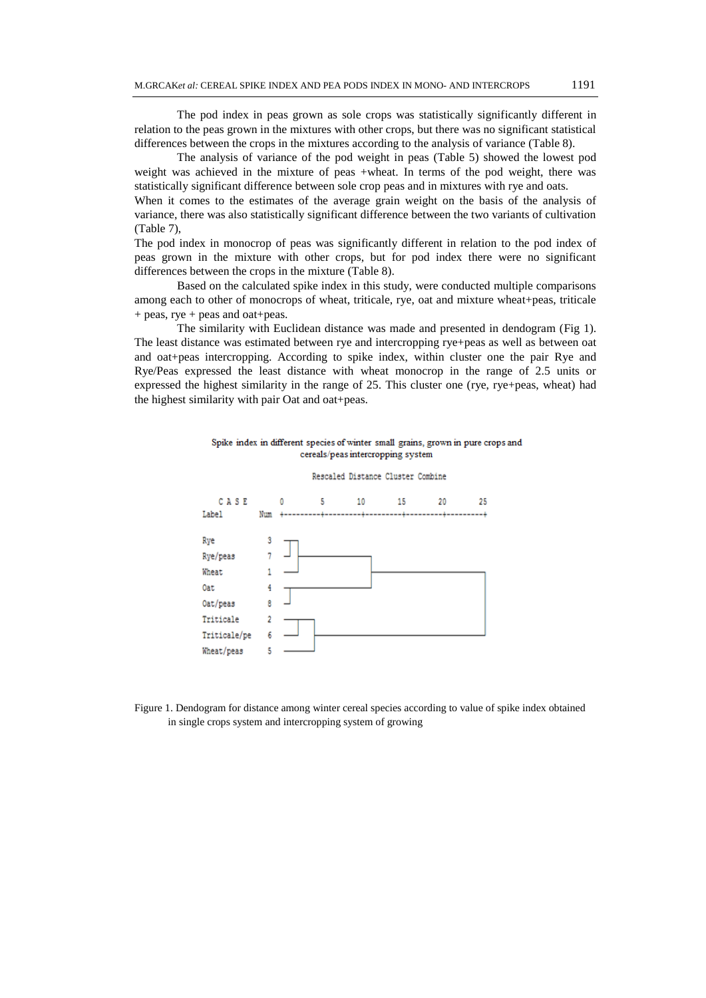The pod index in peas grown as sole crops was statistically significantly different in relation to the peas grown in the mixtures with other crops, but there was no significant statistical differences between the crops in the mixtures according to the analysis of variance (Table 8).

The analysis of variance of the pod weight in peas (Table 5) showed the lowest pod weight was achieved in the mixture of peas +wheat. In terms of the pod weight, there was statistically significant difference between sole crop peas and in mixtures with rye and oats.

When it comes to the estimates of the average grain weight on the basis of the analysis of variance, there was also statistically significant difference between the two variants of cultivation (Table 7),

The pod index in monocrop of peas was significantly different in relation to the pod index of peas grown in the mixture with other crops, but for pod index there were no significant differences between the crops in the mixture (Table 8).

Based on the calculated spike index in this study, were conducted multiple comparisons among each to other of monocrops of wheat, triticale, rye, oat and mixture wheat+peas, triticale + peas, rye + peas and oat+peas.

The similarity with Euclidean distance was made and presented in dendogram (Fig 1). The least distance was estimated between rye and intercropping rye+peas as well as between oat and oat+peas intercropping. According to spike index, within cluster one the pair Rye and Rye/Peas expressed the least distance with wheat monocrop in the range of 2.5 units or expressed the highest similarity in the range of 25. This cluster one (rye, rye+peas, wheat) had the highest similarity with pair Oat and oat+peas.





Figure 1. Dendogram for distance among winter cereal species according to value of spike index obtained in single crops system and intercropping system of growing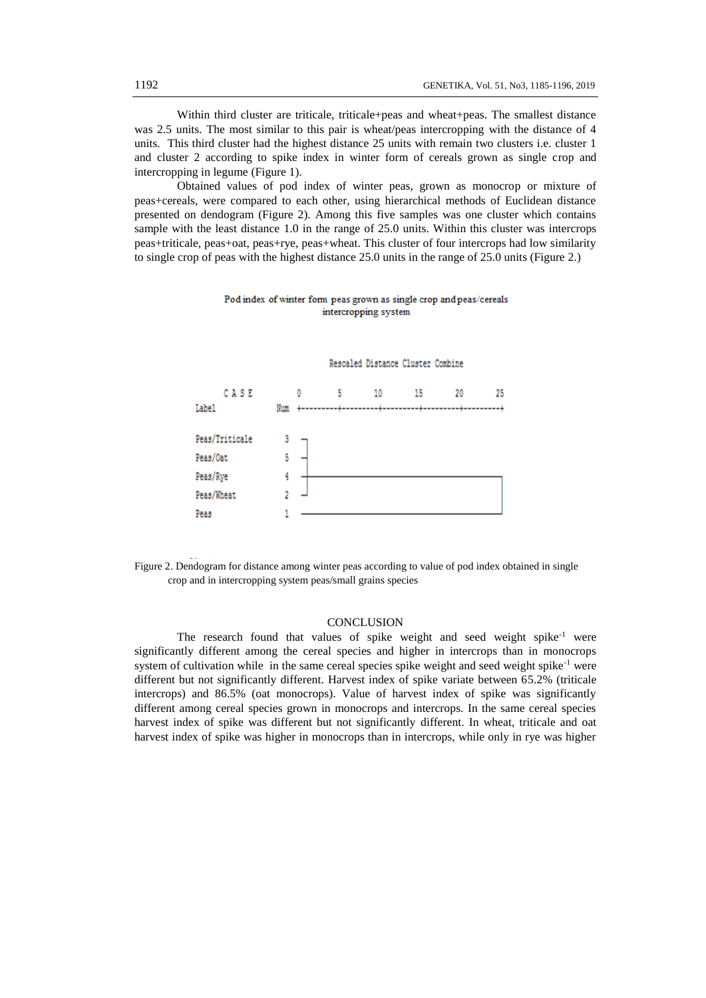Within third cluster are triticale, triticale+peas and wheat+peas. The smallest distance was 2.5 units. The most similar to this pair is wheat/peas intercropping with the distance of 4 units. This third cluster had the highest distance 25 units with remain two clusters i.e. cluster 1 and cluster 2 according to spike index in winter form of cereals grown as single crop and intercropping in legume (Figure 1).

Obtained values of pod index of winter peas, grown as monocrop or mixture of peas+cereals, were compared to each other, using hierarchical methods of Euclidean distance presented on dendogram (Figure 2). Among this five samples was one cluster which contains sample with the least distance 1.0 in the range of 25.0 units. Within this cluster was intercrops peas+triticale, peas+oat, peas+rye, peas+wheat. This cluster of four intercrops had low similarity to single crop of peas with the highest distance 25.0 units in the range of 25.0 units (Figure 2.)

## Pod index of winter form peas grown as single crop and peas/cereals intercropping system

Rescaled Distance Cluster Combine CASE 0 5 10 15 20 25 Label  $Num + - - -$ Peas/Triticale 3 Peas/Oat 5 Peas/Rye 4 Peas/Wheat  $\overline{2}$ Peas 1

Figure 2. Dendogram for distance among winter peas according to value of pod index obtained in single crop and in intercropping system peas/small grains species

## **CONCLUSION**

The research found that values of spike weight and seed weight spike<sup>-1</sup> were significantly different among the cereal species and higher in intercrops than in monocrops system of cultivation while in the same cereal species spike weight and seed weight spike<sup>-1</sup> were different but not significantly different. Harvest index of spike variate between 65.2% (triticale intercrops) and 86.5% (oat monocrops). Value of harvest index of spike was significantly different among cereal species grown in monocrops and intercrops. In the same cereal species harvest index of spike was different but not significantly different. In wheat, triticale and oat harvest index of spike was higher in monocrops than in intercrops, while only in rye was higher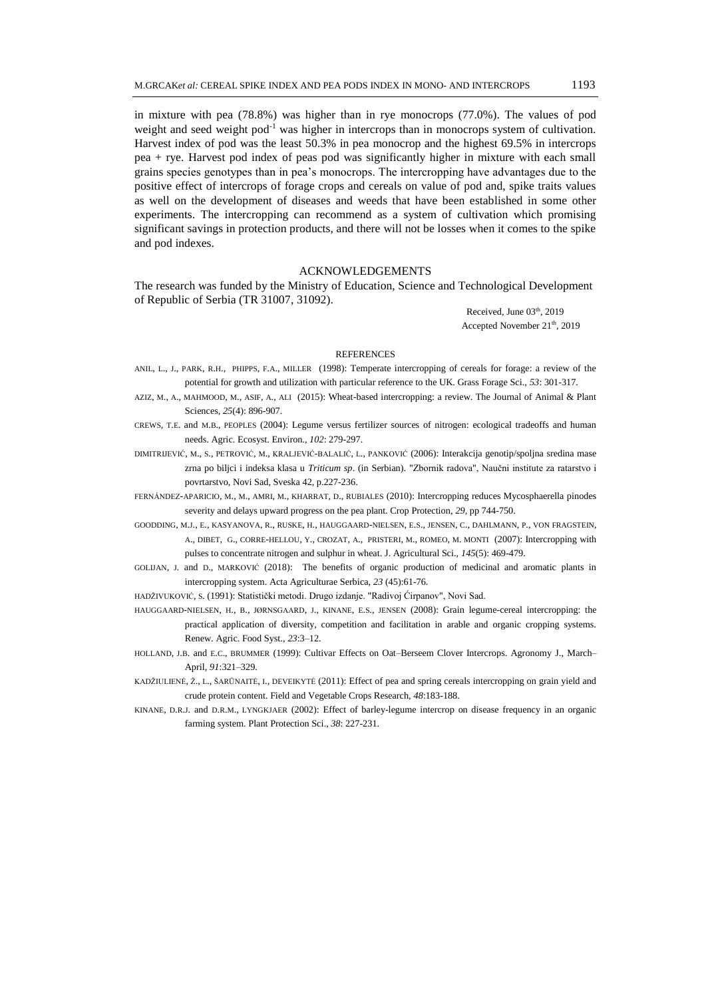in mixture with pea (78.8%) was higher than in rye monocrops (77.0%). The values of pod weight and seed weight  $pod^{-1}$  was higher in intercrops than in monocrops system of cultivation. Harvest index of pod was the least 50.3% in pea monocrop and the highest 69.5% in intercrops pea + rye. Harvest pod index of peas pod was significantly higher in mixture with each small grains species genotypes than in pea's monocrops. The intercropping have advantages due to the positive effect of intercrops of forage crops and cereals on value of pod and, spike traits values as well on the development of diseases and weeds that have been established in some other experiments. The intercropping can recommend as a system of cultivation which promising significant savings in protection products, and there will not be losses when it comes to the spike and pod indexes.

### ACKNOWLEDGEMENTS

The research was funded by the Ministry of Education, Science and Technological Development of Republic of Serbia (TR 31007, 31092).

> Received, June 03<sup>th</sup>, 2019 Accepted November  $21<sup>th</sup>$ , 2019

### **REFERENCES**

- ANIL, L., J., PARK, R.H., PHIPPS, F.A., MILLER (1998): Temperate intercropping of cereals for forage: a review of the potential for growth and utilization with particular reference to the UK. Grass Forage Sci., *53*: 301-317.
- AZIZ, M., A., MAHMOOD, M., ASIF, A., ALI (2015): Wheat-based intercropping: a review. The Journal of Animal & Plant Sciences, *25*(4): 896-907.
- CREWS, T.E. and M.B., PEOPLES (2004): Legume versus fertilizer sources of nitrogen: ecological tradeoffs and human needs. Agric. Ecosyst. Environ., *102*: 279-297.
- DIMITRIJEVIĆ, M., S., PETROVIĆ, M., KRALJEVIĆ-BALALIĆ, L., PANKOVIĆ (2006): Interakcija genotip/spoljna sredina mase zrna po biljci i indeksa klasa u *Triticum sp*. (in Serbian). "Zbornik radova", Naučni institute za ratarstvo i povrtarstvo, Novi Sad, Sveska 42, p.227-236.
- FERNÁNDEZ-APARICIO, M., M., AMRI, M., KHARRAT, D., RUBIALES (2010): Intercropping reduces Mycosphaerella pinodes severity and delays upward progress on the pea plant. Crop Protection, *29*, pp 744-750.
- GOODDING, M.J., E., KASYANOVA, R., RUSKE, H., HAUGGAARD-NIELSEN, E.S., JENSEN, C., DAHLMANN, P., VON FRAGSTEIN, A., DIBET, G., CORRE-HELLOU, Y., CROZAT, A., PRISTERI, M., ROMEO, M. MONTI (2007): Intercropping with pulses to concentrate nitrogen and sulphur in wheat. J. Agricultural Sci., *145*(5): 469-479.
- GOLIJAN, J. and D., MARKOVIĆ (2018): The benefits of organic production of medicinal and aromatic plants in intercropping system. Acta Agriculturae Serbica, *23* (45):61-76.
- HADŽIVUKOVIĆ, S. (1991): Statistički metodi. Drugo izdanje. "Radivoj Ćirpanov", Novi Sad.
- HAUGGAARD-NIELSEN, H., B., JØRNSGAARD, J., KINANE, E.S., JENSEN (2008): Grain legume-cereal intercropping: the practical application of diversity, competition and facilitation in arable and organic cropping systems. Renew. Agric. Food Syst., *23*:3–12.
- HOLLAND, J.B. and E.C., BRUMMER (1999): Cultivar Effects on Oat–Berseem Clover Intercrops. Agronomy J., March– April, *91*:321–329.
- KADŽIULIENĖ, Ž., L., ŠARŪNAITĖ, I., DEVEIKYTĖ (2011): Effect of pea and spring cereals intercropping on grain yield and crude protein content. Field and Vegetable Crops Research, *48*:183-188.
- KINANE, D.R.J. and D.R.M., LYNGKJAER (2002): Effect of barley-legume intercrop on disease frequency in an organic farming system. Plant Protection Sci., *38*: 227-231.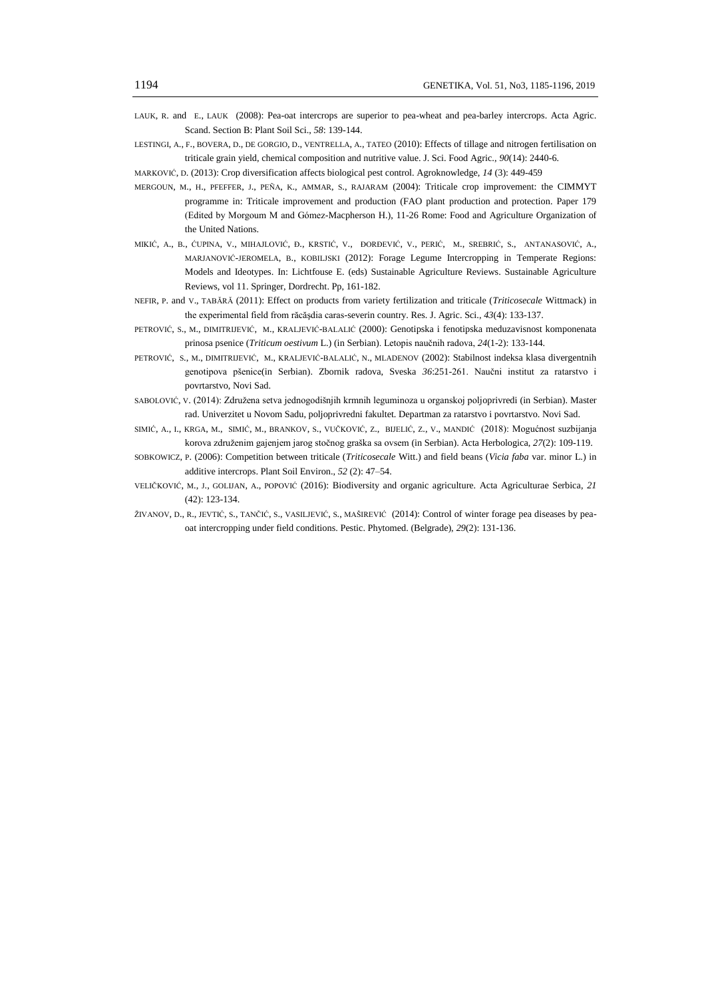- LAUK, R. and E., LAUK (2008): Pea-oat intercrops are superior to pea-wheat and pea-barley intercrops. Acta Agric. Scand. Section B: Plant Soil Sci., *58*: 139-144.
- LESTINGI, A., F., BOVERA, D., DE GORGIO, D., VENTRELLA, A., TATEO (2010): Effects of tillage and nitrogen fertilisation on triticale grain yield, chemical composition and nutritive value. J. Sci. Food Agric., *90*(14): 2440-6.
- MARKOVIĆ, D. (2013): Crop diversification affects biological pest control. Agroknowledge, *14* (3): 449-459
- MERGOUN, M., H., PFEFFER, J., PEÑA, K., AMMAR, S., RAJARAM (2004): Triticale crop improvement: the CIMMYT programme in: Triticale improvement and production (FAO plant production and protection. Paper 179 (Edited by Morgoum M and Gómez-Macpherson H.), 11-26 Rome: Food and Agriculture Organization of the United Nations.
- MIKIĆ, A., B., ĆUPINA, V., MIHAJLOVIĆ, Ð., KRSTIĆ, V., ÐORĐEVIĆ, V., PERIĆ, M., SREBRIĆ, S., ANTANASOVIĆ, A., MARJANOVIĆ-JEROMELA, B., KOBILJSKI (2012): Forage Legume Intercropping in Temperate Regions: Models and Ideotypes. In: Lichtfouse E. (eds) Sustainable Agriculture Reviews. Sustainable Agriculture Reviews, vol 11. Springer, Dordrecht. Pp, 161-182.
- NEFIR, P. and V., TABĂRĂ (2011): Effect on products from variety fertilization and triticale (*Triticosecale* Wittmack) in the experimental field from răcăşdia caras-severin country. Res. J. Agric. Sci., *43*(4): 133-137.
- PETROVIĆ, S., M., DIMITRIJEVIĆ, M., KRALJEVIĆ-BALALIĆ (2000): Genotipska i fenotipska meduzavisnost komponenata prinosa psenice (*Triticum oestivum* L.) (in Serbian). Letopis naučnih radova, *24*(1-2): 133-144.
- PETROVIĆ, S., M., DIMITRIJEVIĆ, M., KRALJEVIĆ-BALALIĆ, N., MLADENOV (2002): Stabilnost indeksa klasa divergentnih genotipova pšenice(in Serbian). Zbornik radova, Sveska *36*:251-261. Naučni institut za ratarstvo i povrtarstvo, Novi Sad.
- SABOLOVIĆ, V. (2014): Združena setva jednogodišnjih krmnih leguminoza u organskoj poljoprivredi (in Serbian). Master rad. Univerzitet u Novom Sadu, poljoprivredni fakultet. Departman za ratarstvo i povrtarstvo. Novi Sad.
- SIMIĆ, A., I., KRGA, M., SIMIĆ, M., BRANKOV, S., VUČKOVIĆ, Z., BIJELIĆ, Z., V., MANDIĆ (2018): Mogućnost suzbijanja korova združenim gajenjem jarog stočnog graška sa ovsem (in Serbian). Acta Herbologica, *27*(2): 109-119.
- SOBKOWICZ, P. (2006): Competition between triticale (*Triticosecale* Witt.) and field beans (*Vicia faba* var. minor L.) in additive intercrops. Plant Soil Environ., *52* (2): 47–54.
- VELIČKOVIĆ, M., J., GOLIJAN, A., POPOVIĆ (2016): Biodiversity and organic agriculture. Acta Agriculturae Serbica, *21* (42): 123-134.
- ŽIVANOV, D., R., JEVTIĆ, S., TANČIĆ, S., VASILJEVIĆ, S., MAŠIREVIĆ (2014): Control of winter forage pea diseases by peaoat intercropping under field conditions. Pestic. Phytomed. (Belgrade), *29*(2): 131-136.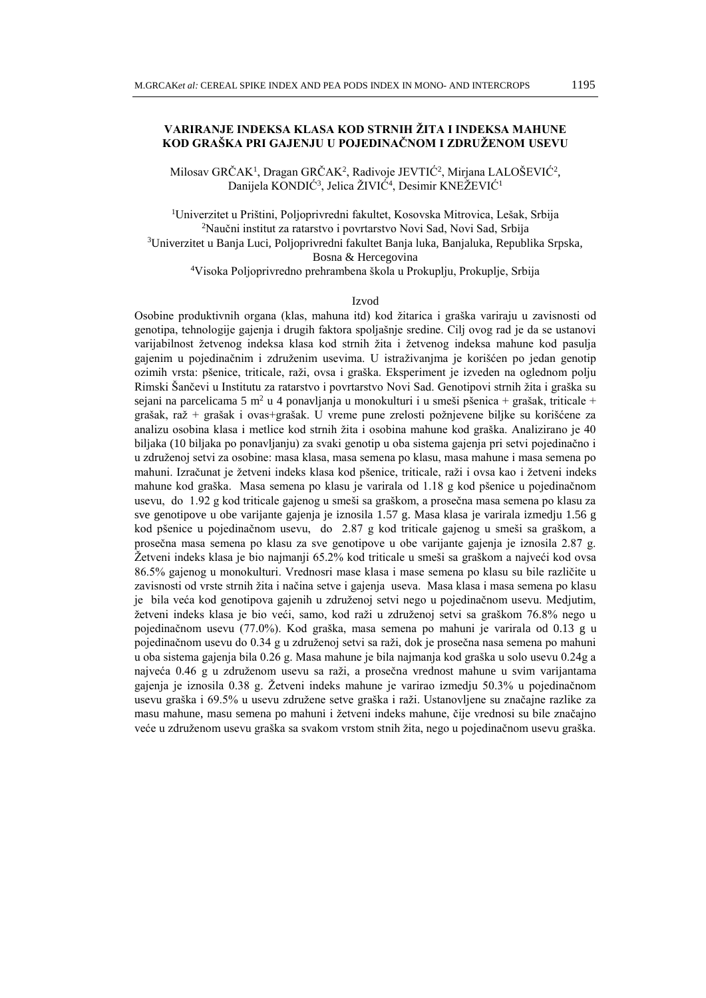# **VARIRANJE INDEKSA KLASA KOD STRNIH ŽITA I INDEKSA MAHUNE KOD GRAŠKA PRI GAJENJU U POJEDINAČNOM I ZDRUŽENOM USEVU**

Milosav GRČAK<sup>1</sup>, Dragan GRČAK<sup>2</sup>, Radivoje JEVTIĆ<sup>2</sup>, Mirjana LALOŠEVIĆ<sup>2</sup>, Danijela KONDIĆ<sup>3</sup>, Jelica ŽIVIĆ<sup>4</sup>, Desimir KNEŽEVIĆ<sup>1</sup>

<sup>1</sup>Univerzitet u Prištini, Poljoprivredni fakultet, Kosovska Mitrovica, Lešak, Srbija <sup>2</sup>Naučni institut za ratarstvo i povrtarstvo Novi Sad, Novi Sad, Srbija <sup>3</sup>Univerzitet u Banja Luci, Poljoprivredni fakultet Banja luka, Banjaluka, Republika Srpska, Bosna & Hercegovina <sup>4</sup>Visoka Poljoprivredno prehrambena škola u Prokuplju, Prokuplje, Srbija

#### Izvod

Osobine produktivnih organa (klas, mahuna itd) kod žitarica i graška variraju u zavisnosti od genotipa, tehnologije gajenja i drugih faktora spoljašnje sredine. Cilj ovog rad je da se ustanovi varijabilnost žetvenog indeksa klasa kod strnih žita i žetvenog indeksa mahune kod pasulja gajenim u pojedinačnim i združenim usevima. U istraživanjma je korišćen po jedan genotip ozimih vrsta: pšenice, triticale, raži, ovsa i graška. Eksperiment je izveden na oglednom polju Rimski Šančevi u Institutu za ratarstvo i povrtarstvo Novi Sad. Genotipovi strnih žita i graška su sejani na parcelicama 5 m<sup>2</sup> u 4 ponavljanja u monokulturi i u smeši pšenica + grašak, triticale + grašak, raž + grašak i ovas+grašak. U vreme pune zrelosti požnjevene biljke su korišćene za analizu osobina klasa i metlice kod strnih žita i osobina mahune kod graška. Analizirano je 40 biljaka (10 biljaka po ponavljanju) za svaki genotip u oba sistema gajenja pri setvi pojedinačno i u združenoj setvi za osobine: masa klasa, masa semena po klasu, masa mahune i masa semena po mahuni. Izračunat je žetveni indeks klasa kod pšenice, triticale, raži i ovsa kao i žetveni indeks mahune kod graška. Masa semena po klasu je varirala od 1.18 g kod pšenice u pojedinačnom usevu, do 1.92 g kod triticale gajenog u smeši sa graškom, a prosečna masa semena po klasu za sve genotipove u obe varijante gajenja je iznosila 1.57 g. Masa klasa je varirala izmedju 1.56 g kod pšenice u pojedinačnom usevu, do 2.87 g kod triticale gajenog u smeši sa graškom, a prosečna masa semena po klasu za sve genotipove u obe varijante gajenja je iznosila 2.87 g. Žetveni indeks klasa je bio najmanji 65.2% kod triticale u smeši sa graškom a najveći kod ovsa 86.5% gajenog u monokulturi. Vrednosri mase klasa i mase semena po klasu su bile različite u zavisnosti od vrste strnih žita i načina setve i gajenja useva. Masa klasa i masa semena po klasu je bila veća kod genotipova gajenih u združenoj setvi nego u pojedinačnom usevu. Medjutim, žetveni indeks klasa je bio veći, samo, kod raži u združenoj setvi sa graškom 76.8% nego u pojedinačnom usevu (77.0%). Kod graška, masa semena po mahuni je varirala od 0.13 g u pojedinačnom usevu do 0.34 g u združenoj setvi sa raži, dok je prosečna nasa semena po mahuni u oba sistema gajenja bila 0.26 g. Masa mahune je bila najmanja kod graška u solo usevu 0.24g a najveća 0.46 g u združenom usevu sa raži, a prosečna vrednost mahune u svim varijantama gajenja je iznosila 0.38 g. Žetveni indeks mahune je varirao izmedju 50.3% u pojedinačnom usevu graška i 69.5% u usevu združene setve graška i raži. Ustanovljene su značajne razlike za masu mahune, masu semena po mahuni i žetveni indeks mahune, čije vrednosi su bile značajno veće u združenom usevu graška sa svakom vrstom stnih žita, nego u pojedinačnom usevu graška.